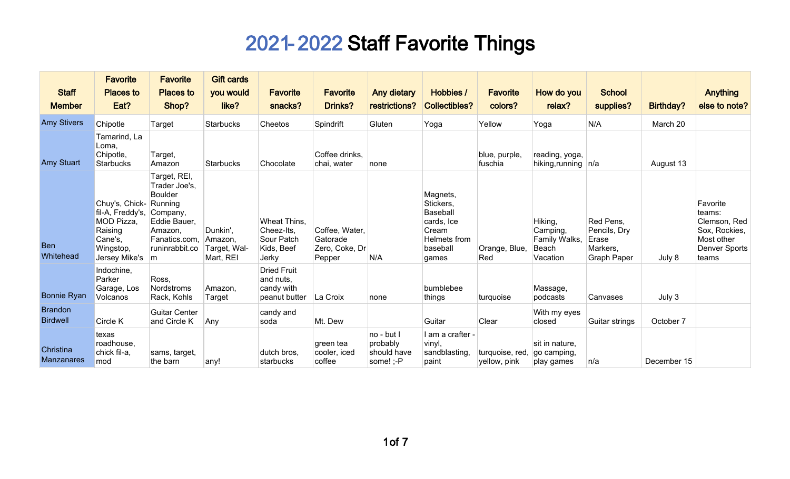|                                   | <b>Favorite</b>                                                                                              | <b>Favorite</b>                                                                                                                | <b>Gift cards</b>                                |                                                                 |                                                        |                                                    |                                                                                                      |                                 |                                                           |                                                                      |             |                                                                                                    |
|-----------------------------------|--------------------------------------------------------------------------------------------------------------|--------------------------------------------------------------------------------------------------------------------------------|--------------------------------------------------|-----------------------------------------------------------------|--------------------------------------------------------|----------------------------------------------------|------------------------------------------------------------------------------------------------------|---------------------------------|-----------------------------------------------------------|----------------------------------------------------------------------|-------------|----------------------------------------------------------------------------------------------------|
| <b>Staff</b>                      | <b>Places to</b>                                                                                             | <b>Places to</b>                                                                                                               | you would                                        | <b>Favorite</b>                                                 | <b>Favorite</b>                                        | Any dietary                                        | Hobbies /                                                                                            | <b>Favorite</b>                 | How do you                                                | <b>School</b>                                                        |             | <b>Anything</b>                                                                                    |
| <b>Member</b>                     | Eat?                                                                                                         | Shop?                                                                                                                          | like?                                            | snacks?                                                         | <b>Drinks?</b>                                         | restrictions?                                      | <b>Collectibles?</b>                                                                                 | colors?                         | relax?                                                    | supplies?                                                            | Birthday?   | else to note?                                                                                      |
| <b>Amy Stivers</b>                | Chipotle                                                                                                     | <b>Target</b>                                                                                                                  | <b>Starbucks</b>                                 | Cheetos                                                         | Spindrift                                              | Gluten                                             | Yoga                                                                                                 | Yellow                          | Yoga                                                      | N/A                                                                  | March 20    |                                                                                                    |
| <b>Amy Stuart</b>                 | Tamarind, La<br>Loma,<br>Chipotle,<br><b>Starbucks</b>                                                       | Target,<br>Amazon                                                                                                              | Starbucks                                        | Chocolate                                                       | Coffee drinks,<br>chai, water                          | none                                               |                                                                                                      | blue, purple,<br>fuschia        | reading, yoga,<br>hiking, running $ n/a $                 |                                                                      | August 13   |                                                                                                    |
| <b>Ben</b><br>Whitehead           | Chuy's, Chick- Running<br>fil-A, Freddy's,<br>MOD Pizza,<br>Raising<br>Cane's,<br>Wingstop,<br>Jersey Mike's | Target, REI,<br>Trader Joe's,<br><b>Boulder</b><br>Company,<br>Eddie Bauer,<br>Amazon,<br>Fanatics.com.<br>runinrabbit.co<br>m | Dunkin',<br>Amazon,<br>Target, Wal-<br>Mart, REI | Wheat Thins,<br>Cheez-Its,<br>Sour Patch<br>Kids, Beef<br>Jerky | Coffee, Water,<br>Gatorade<br>Zero, Coke, Dr<br>Pepper | N/A                                                | Magnets,<br>Stickers,<br><b>Baseball</b><br>cards, Ice<br>Cream<br>Helmets from<br>baseball<br>games | Orange, Blue,<br>Red            | Hiking,<br>Camping,<br>Family Walks,<br>Beach<br>Vacation | Red Pens,<br>Pencils, Dry<br>Erase<br>Markers,<br><b>Graph Paper</b> | July 8      | Favorite<br>teams:<br>Clemson, Red<br>Sox, Rockies,<br>Most other<br><b>Denver Sports</b><br>teams |
| <b>Bonnie Ryan</b>                | Indochine,<br>Parker<br>Garage, Los<br>Volcanos                                                              | Ross.<br>Nordstroms<br>Rack, Kohls                                                                                             | Amazon,<br>Target                                | <b>Dried Fruit</b><br>and nuts,<br>candy with<br>peanut butter  | La Croix                                               | none                                               | bumblebee<br>things                                                                                  | turquoise                       | Massage,<br>podcasts                                      | Canvases                                                             | July 3      |                                                                                                    |
| <b>Brandon</b><br><b>Birdwell</b> | Circle K                                                                                                     | <b>Guitar Center</b><br>and Circle K                                                                                           | Any                                              | candy and<br>soda                                               | Mt. Dew                                                |                                                    | Guitar                                                                                               | Clear                           | With my eyes<br>closed                                    | Guitar strings                                                       | October 7   |                                                                                                    |
| Christina<br><b>Manzanares</b>    | texas<br>roadhouse,<br>chick fil-a,<br>mod                                                                   | sams, target,<br>the barn                                                                                                      | any!                                             | dutch bros,<br>starbucks                                        | green tea<br>cooler, iced<br>coffee                    | no - but I<br>probably<br>should have<br>some! ;-P | I am a crafter -<br>vinyl,<br>sandblasting,<br>paint                                                 | turquoise, red.<br>yellow, pink | sit in nature,<br>go camping,<br>play games               | n/a                                                                  | December 15 |                                                                                                    |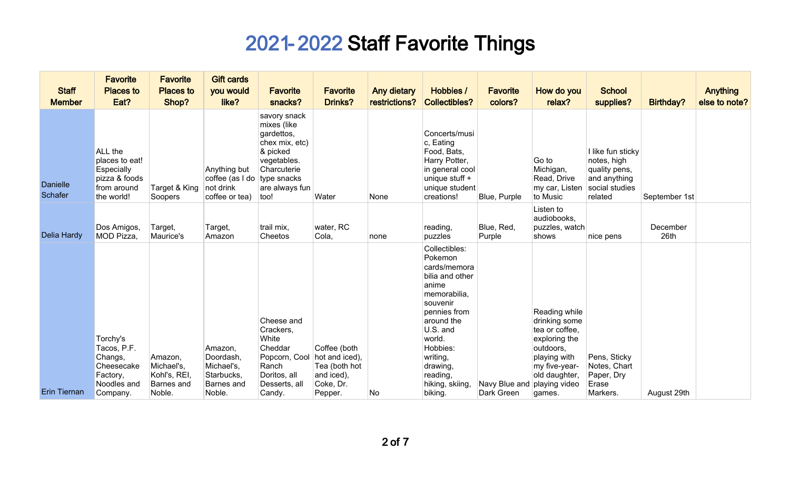| <b>Staff</b><br><b>Member</b> | <b>Favorite</b><br><b>Places to</b><br>Eat?                                             | <b>Favorite</b><br><b>Places to</b><br>Shop?                         | <b>Gift cards</b><br>you would<br>like?                                        | <b>Favorite</b><br>snacks?                                                                                                      | <b>Favorite</b><br><b>Drinks?</b>                                                     | <b>Any dietary</b><br>restrictions? | Hobbies /<br><b>Collectibles?</b>                                                                                                                                                                                                  | <b>Favorite</b><br>colors?  | How do you<br>relax?                                                                                                                                        | <b>School</b><br>supplies?                                                                     | <b>Birthday?</b> | <b>Anything</b><br>else to note? |
|-------------------------------|-----------------------------------------------------------------------------------------|----------------------------------------------------------------------|--------------------------------------------------------------------------------|---------------------------------------------------------------------------------------------------------------------------------|---------------------------------------------------------------------------------------|-------------------------------------|------------------------------------------------------------------------------------------------------------------------------------------------------------------------------------------------------------------------------------|-----------------------------|-------------------------------------------------------------------------------------------------------------------------------------------------------------|------------------------------------------------------------------------------------------------|------------------|----------------------------------|
| <b>Danielle</b><br>Schafer    | ALL the<br>places to eat!<br>Especially<br>pizza & foods<br>from around<br>the world!   | Target & King<br>Soopers                                             | Anything but<br>coffee (as I do $ $ type snacks<br>not drink<br>coffee or tea) | savory snack<br>mixes (like<br>gardettos,<br>chex mix, etc)<br>& picked<br>vegetables.<br>Charcuterie<br>are always fun<br>too! | Water                                                                                 | None                                | Concerts/musi<br>c, Eating<br>Food, Bats,<br>Harry Potter,<br>in general cool<br>unique stuff +<br>unique student<br>creations!                                                                                                    | Blue, Purple                | Go to<br>Michigan,<br>Read, Drive<br>my car, Listen<br>to Music                                                                                             | I like fun sticky<br>notes, high<br>quality pens,<br>and anything<br>social studies<br>related | September 1st    |                                  |
| <b>Delia Hardy</b>            | Dos Amigos,<br>MOD Pizza,                                                               | Target,<br>Maurice's                                                 | Target,<br>Amazon                                                              | trail mix,<br>Cheetos                                                                                                           | water, RC<br>Cola,                                                                    | none                                | reading,<br>puzzles                                                                                                                                                                                                                | Blue, Red,<br>Purple        | Listen to<br>audiobooks,<br>puzzles, watch<br>shows                                                                                                         | nice pens                                                                                      | December<br>26th |                                  |
| <b>Erin Tiernan</b>           | Torchy's<br>Tacos, P.F.<br>Changs,<br>Cheesecake<br>Factory,<br>Noodles and<br>Company. | Amazon,<br>Michael's,<br>Kohl's, REI,<br><b>Barnes</b> and<br>Noble. | Amazon,<br>Doordash,<br>Michael's,<br>Starbucks,<br>Barnes and<br>Noble.       | Cheese and<br>Crackers,<br>White<br>Cheddar<br>Popcorn, Cool<br>Ranch<br>Doritos, all<br>Desserts, all<br>Candy.                | Coffee (both<br>hot and iced),<br>Tea (both hot<br>and iced),<br>Coke, Dr.<br>Pepper. | No                                  | Collectibles:<br>Pokemon<br>cards/memora<br>bilia and other<br>anime<br>memorabilia,<br>souvenir<br>pennies from<br>around the<br>U.S. and<br>world.<br>Hobbies:<br>writing,<br>drawing,<br>reading,<br>hiking, skiing,<br>biking. | Navy Blue and<br>Dark Green | Reading while<br>drinking some<br>tea or coffee,<br>exploring the<br>outdoors,<br>playing with<br>my five-year-<br>old daughter,<br>playing video<br>games. | Pens, Sticky<br>Notes, Chart<br>Paper, Dry<br>Erase<br>Markers.                                | August 29th      |                                  |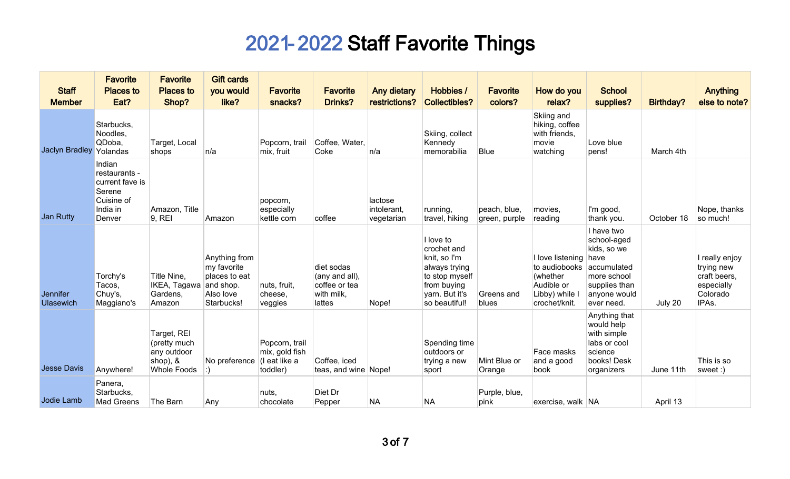| <b>Staff</b><br><b>Member</b>       | <b>Favorite</b><br><b>Places to</b><br>Eat?                                              | <b>Favorite</b><br><b>Places to</b><br>Shop?                                 | <b>Gift cards</b><br>you would<br>like?                                               | <b>Favorite</b><br>snacks?                                    | <b>Favorite</b><br>Drinks?                                            | <b>Any dietary</b><br>restrictions?  | Hobbies /<br><b>Collectibles?</b>                                                                                             | <b>Favorite</b><br>colors?    | How do you<br>relax?                                                                           | <b>School</b><br>supplies?                                                                                                    | <b>Birthday?</b> | <b>Anything</b><br>else to note?                                                |
|-------------------------------------|------------------------------------------------------------------------------------------|------------------------------------------------------------------------------|---------------------------------------------------------------------------------------|---------------------------------------------------------------|-----------------------------------------------------------------------|--------------------------------------|-------------------------------------------------------------------------------------------------------------------------------|-------------------------------|------------------------------------------------------------------------------------------------|-------------------------------------------------------------------------------------------------------------------------------|------------------|---------------------------------------------------------------------------------|
| Jaclyn Bradley Yolandas             | Starbucks,<br>Noodles,<br>QDoba,                                                         | Target, Local<br>shops                                                       | n/a                                                                                   | Popcorn, trail<br>mix, fruit                                  | Coffee, Water,<br>Coke                                                | n/a                                  | Skiing, collect<br>Kennedy<br>memorabilia                                                                                     | Blue                          | Skiing and<br>hiking, coffee<br>with friends,<br>movie<br>watching                             | Love blue<br>pens!                                                                                                            | March 4th        |                                                                                 |
| <b>Jan Rutty</b>                    | Indian<br>restaurants -<br>current fave is<br>Serene<br>Cuisine of<br>India in<br>Denver | Amazon, Title<br>9, REI                                                      | Amazon                                                                                | popcorn,<br>especially<br>kettle corn                         | coffee                                                                | lactose<br>intolerant,<br>vegetarian | running,<br>travel, hiking                                                                                                    | peach, blue,<br>green, purple | movies,<br>reading                                                                             | I'm good,<br>thank you.                                                                                                       | October 18       | Nope, thanks<br>so much!                                                        |
| <b>Jennifer</b><br><b>Ulasewich</b> | Torchy's<br>Tacos,<br>Chuy's,<br>Maggiano's                                              | Title Nine,<br>IKEA, Tagawa<br>Gardens,<br>Amazon                            | Anything from<br>my favorite<br>places to eat<br>and shop.<br>Also love<br>Starbucks! | nuts, fruit,<br>cheese,<br>veggies                            | diet sodas<br>(any and all),<br>coffee or tea<br>with milk,<br>lattes | Nope!                                | I love to<br>crochet and<br>knit, so I'm<br>always trying<br>to stop myself<br>from buying<br>yarn. But it's<br>so beautiful! | Greens and<br>blues           | I love listening<br>to audiobooks<br>(whether<br>Audible or<br>Libby) while I<br>crochet/knit. | I have two<br>school-aged<br>kids, so we<br>have<br>accumulated<br>more school<br>supplies than<br>anyone would<br>ever need. | July 20          | I really enjoy<br>trying new<br>craft beers,<br>especially<br>Colorado<br>IPAs. |
| <b>Jesse Davis</b>                  | Anywhere!                                                                                | Target, REI<br>(pretty much<br>any outdoor<br>shop), &<br><b>Whole Foods</b> | No preference                                                                         | Popcorn, trail<br>mix, gold fish<br>(I eat like a<br>toddler) | Coffee, iced<br>teas, and wine Nope!                                  |                                      | Spending time<br>outdoors or<br>trying a new<br>sport                                                                         | Mint Blue or<br>Orange        | Face masks<br>and a good<br>book                                                               | Anything that<br>would help<br>with simple<br>labs or cool<br>science<br>books! Desk<br>organizers                            | June 11th        | This is so<br>sweet:)                                                           |
| Jodie Lamb                          | Panera,<br>Starbucks,<br><b>Mad Greens</b>                                               | The Barn                                                                     | Any                                                                                   | ∣nuts,<br>chocolate                                           | Diet Dr<br>Pepper                                                     | <b>NA</b>                            | <b>NA</b>                                                                                                                     | Purple, blue,<br>pink         | exercise, walk NA                                                                              |                                                                                                                               | April 13         |                                                                                 |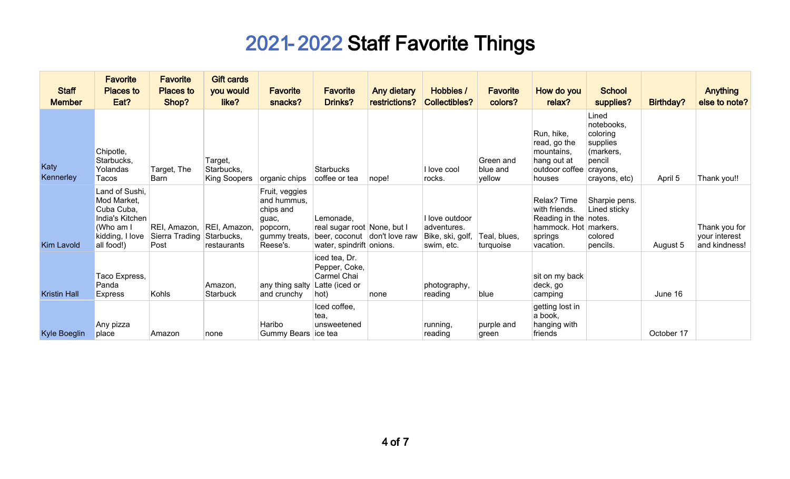| <b>Staff</b><br><b>Member</b> | <b>Favorite</b><br><b>Places to</b><br>Eat?                                                                  | <b>Favorite</b><br><b>Places to</b><br>Shop? | <b>Gift cards</b><br>you would<br>like?   | <b>Favorite</b><br>snacks?                                                                   | <b>Favorite</b><br><b>Drinks?</b>                                                                    | Any dietary<br>restrictions? | Hobbies /<br><b>Collectibles?</b>                               | <b>Favorite</b><br>colors?      | How do you<br>relax?                                                                          | <b>School</b><br>supplies?                                                                      | Birthday?  | <b>Anything</b><br>else to note?                |
|-------------------------------|--------------------------------------------------------------------------------------------------------------|----------------------------------------------|-------------------------------------------|----------------------------------------------------------------------------------------------|------------------------------------------------------------------------------------------------------|------------------------------|-----------------------------------------------------------------|---------------------------------|-----------------------------------------------------------------------------------------------|-------------------------------------------------------------------------------------------------|------------|-------------------------------------------------|
| Katy<br>Kennerley             | Chipotle,<br>Starbucks,<br>Yolandas<br>Tacos                                                                 | Target, The<br>Barn                          | Target,<br>Starbucks,<br>King Soopers     | organic chips                                                                                | <b>Starbucks</b><br>coffee or tea                                                                    | nope!                        | I love cool<br>rocks.                                           | Green and<br>blue and<br>yellow | Run, hike,<br>read, go the<br>mountains,<br>hang out at<br>outdoor coffee<br>houses           | Lined<br>notebooks,<br>coloring<br>supplies<br>(markers,<br>pencil<br>crayons,<br>crayons, etc) | April 5    | Thank you!!                                     |
| <b>Kim Lavold</b>             | Land of Sushi,<br>Mod Market,<br>Cuba Cuba,<br>India's Kitchen<br>(Who am I<br>kidding, I love<br>all food!) | REI, Amazon,<br>Sierra Trading<br>Post       | REI, Amazon,<br>Starbucks,<br>restaurants | Fruit, veggies<br>and hummus,<br>chips and<br>guac,<br>popcorn,<br>gummy treats,<br>Reese's. | Lemonade.<br>real sugar root None, but I<br>beer, coconut don't love raw<br>water, spindrift onions. |                              | I love outdoor<br>adventures.<br>Bike, ski, golf,<br>swim, etc. | Teal, blues,<br>turquoise       | Relax? Time<br>with friends.<br>Reading in the notes.<br>hammock. Hot<br>springs<br>vacation. | Sharpie pens.<br>Lined sticky<br>markers.<br>colored<br>pencils.                                | August 5   | Thank you for<br>your interest<br>and kindness! |
| <b>Kristin Hall</b>           | Taco Express,<br>Panda<br><b>Express</b>                                                                     | Kohls                                        | Amazon,<br><b>Starbuck</b>                | any thing salty<br>and crunchy                                                               | iced tea, Dr.<br>Pepper, Coke,<br>Carmel Chai<br>Latte (iced or<br>hot)                              | none                         | photography,<br>reading                                         | blue                            | sit on my back<br>deck, go<br>camping                                                         |                                                                                                 | June 16    |                                                 |
| <b>Kyle Boeglin</b>           | Any pizza<br>place                                                                                           | Amazon                                       | none                                      | Haribo<br>Gummy Bears   ice tea                                                              | Iced coffee,<br>tea.<br>unsweetened                                                                  |                              | running,<br>reading                                             | purple and<br>green             | getting lost in<br>a book,<br>hanging with<br>friends                                         |                                                                                                 | October 17 |                                                 |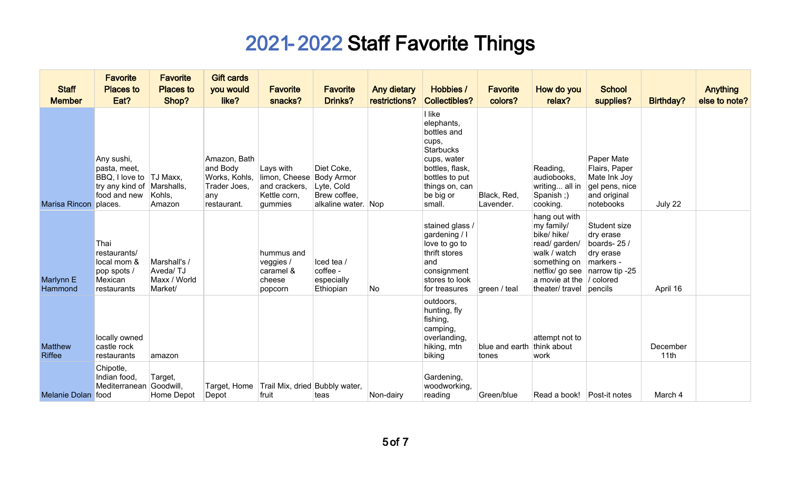| <b>Staff</b><br><b>Member</b>   | <b>Favorite</b><br><b>Places to</b><br>Eat?                                                          | <b>Favorite</b><br><b>Places to</b><br>Shop?        | <b>Gift cards</b><br>you would<br>like?                                         | <b>Favorite</b><br>snacks?                                             | <b>Favorite</b><br>Drinks?                                                           | <b>Any dietary</b><br>restrictions? | Hobbies /<br><b>Collectibles?</b>                                                                                                                             | <b>Favorite</b><br>colors?          | How do you<br>relax?                                                                                                                                | <b>School</b><br>supplies?                                                                                  | <b>Birthday?</b> | <b>Anything</b><br>else to note? |
|---------------------------------|------------------------------------------------------------------------------------------------------|-----------------------------------------------------|---------------------------------------------------------------------------------|------------------------------------------------------------------------|--------------------------------------------------------------------------------------|-------------------------------------|---------------------------------------------------------------------------------------------------------------------------------------------------------------|-------------------------------------|-----------------------------------------------------------------------------------------------------------------------------------------------------|-------------------------------------------------------------------------------------------------------------|------------------|----------------------------------|
| Marisa Rincon places.           | Any sushi,<br>pasta, meet,<br>BBQ, I love to  TJ Maxx,<br>try any kind of Marshalls,<br>food and new | Kohls,<br>Amazon                                    | Amazon, Bath<br>and Body<br>Works, Kohls,<br>Trader Joes,<br>any<br>restaurant. | Lays with<br>limon, Cheese<br>and crackers,<br>Kettle corn,<br>gummies | Diet Coke,<br><b>Body Armor</b><br>Lyte, Cold<br>Brew coffee,<br>alkaline water. Nop |                                     | I like<br>elephants,<br>bottles and<br>cups,<br><b>Starbucks</b><br>cups, water<br>bottles, flask,<br>bottles to put<br>things on, can<br>be big or<br>small. | Black, Red,<br>Lavender.            | Reading,<br>audiobooks,<br>writing all in<br>Spanish;)<br>cooking.                                                                                  | Paper Mate<br>Flairs, Paper<br>Mate Ink Joy<br>gel pens, nice<br>and original<br>notebooks                  | July 22          |                                  |
| Marlynn E<br>Hammond            | Thai<br>restaurants/<br>local mom &<br>pop spots /<br>Mexican<br>restaurants                         | Marshall's /<br>Aveda/TJ<br>Maxx / World<br>Market/ |                                                                                 | hummus and<br>veggies /<br>caramel &<br>cheese<br>popcorn              | lced tea /<br>coffee -<br>especially<br>Ethiopian                                    | No                                  | stained glass /<br>gardening / I<br>love to go to<br>thrift stores<br>land<br>consignment<br>stores to look<br>for treasures                                  | green / teal                        | hang out with<br>my family/<br>bike/ hike/<br>read/ garden/<br>walk / watch<br>something on<br>netflix/ go see<br>a movie at the<br>theater/ travel | Student size<br>dry erase<br>boards-25/<br>dry erase<br>markers -<br>narrow tip -25<br>/ colored<br>pencils | April 16         |                                  |
| <b>Matthew</b><br><b>Riffee</b> | locally owned<br>castle rock<br>restaurants                                                          | amazon                                              |                                                                                 |                                                                        |                                                                                      |                                     | outdoors,<br>hunting, fly<br>fishing,<br>camping,<br>overlanding,<br>hiking, mtn<br>biking                                                                    | blue and earth think about<br>tones | attempt not to<br>work                                                                                                                              |                                                                                                             | December<br>11th |                                  |
| Melanie Dolan food              | Chipotle,<br>Indian food,<br>Mediterranean                                                           | Target,<br>Goodwill,<br>Home Depot                  | Depot                                                                           | Target, Home Trail Mix, dried Bubbly water,<br>fruit                   | teas                                                                                 | Non-dairy                           | Gardening,<br>woodworking,<br>reading                                                                                                                         | Green/blue                          | Read a book!   Post-it notes                                                                                                                        |                                                                                                             | March 4          |                                  |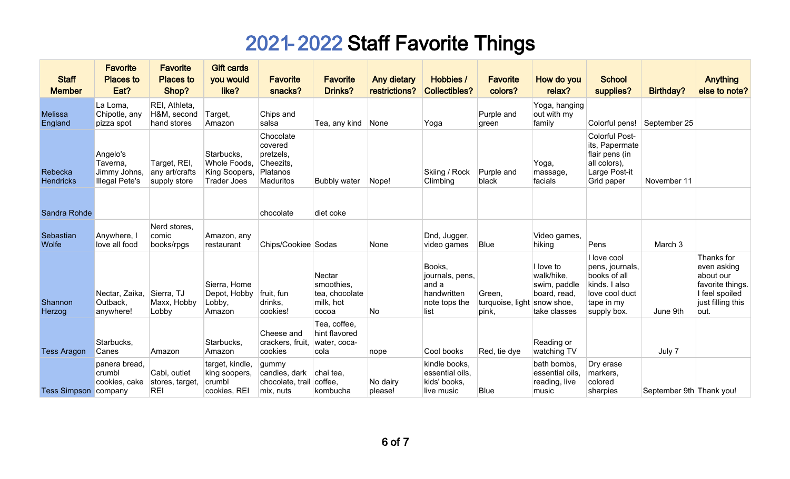| <b>Staff</b><br><b>Member</b> | <b>Favorite</b><br><b>Places to</b><br>Eat?                   | <b>Favorite</b><br><b>Places to</b><br>Shop?   | <b>Gift cards</b><br>you would<br>like?                           | <b>Favorite</b><br>snacks?                                              | <b>Favorite</b><br><b>Drinks?</b>                            | <b>Any dietary</b><br>restrictions? | Hobbies /<br><b>Collectibles?</b>                                          | <b>Favorite</b><br>colors?                     | How do you<br>relax?                                                    | <b>School</b><br>supplies?                                                                                     | Birthday?                | <b>Anything</b><br>else to note?                                                                          |
|-------------------------------|---------------------------------------------------------------|------------------------------------------------|-------------------------------------------------------------------|-------------------------------------------------------------------------|--------------------------------------------------------------|-------------------------------------|----------------------------------------------------------------------------|------------------------------------------------|-------------------------------------------------------------------------|----------------------------------------------------------------------------------------------------------------|--------------------------|-----------------------------------------------------------------------------------------------------------|
| <b>Melissa</b><br>England     | La Loma,<br>Chipotle, any<br>pizza spot                       | REI, Athleta,<br>H&M, second<br>hand stores    | Target,<br>Amazon                                                 | Chips and<br>salsa                                                      | Tea, any kind                                                | None                                | Yoga                                                                       | Purple and<br>green                            | Yoga, hanging<br>out with my<br>family                                  | Colorful pens!                                                                                                 | September 25             |                                                                                                           |
| Rebecka<br><b>Hendricks</b>   | Angelo's<br>Taverna,<br>Jimmy Johns,<br><b>Illegal Pete's</b> | Target, REI,<br>any art/crafts<br>supply store | Starbucks,<br>Whole Foods,<br>King Soopers,<br><b>Trader Joes</b> | Chocolate<br>covered<br>pretzels,<br>Cheezits,<br>Platanos<br>Maduritos | <b>Bubbly water</b>                                          | Nope!                               | Skiing / Rock<br>Climbing                                                  | Purple and<br>black                            | Yoga,<br>massage,<br>facials                                            | Colorful Post-<br>its, Papermate<br>flair pens (in<br>all colors),<br>Large Post-it<br>Grid paper              | November 11              |                                                                                                           |
| Sandra Rohde                  |                                                               |                                                |                                                                   | chocolate                                                               | diet coke                                                    |                                     |                                                                            |                                                |                                                                         |                                                                                                                |                          |                                                                                                           |
| Sebastian<br><b>Wolfe</b>     | Anywhere, I<br>love all food                                  | Nerd stores,<br>comic<br>books/rpgs            | Amazon, any<br>restaurant                                         | Chips/Cookiee Sodas                                                     |                                                              | None                                | Dnd, Jugger,<br>video games                                                | Blue                                           | Video games,<br>hiking                                                  | Pens                                                                                                           | March 3                  |                                                                                                           |
| Shannon<br>Herzog             | Nectar, Zaika,<br>Outback,<br>anywhere!                       | Sierra, TJ<br>Maxx, Hobby<br>Lobby             | Sierra, Home<br>Depot, Hobby<br>Lobby,<br>Amazon                  | fruit, fun<br>drinks,<br>cookies!                                       | Nectar<br>smoothies,<br>tea, chocolate<br>milk, hot<br>cocoa | No                                  | Books,<br>journals, pens,<br>and a<br>handwritten<br>note tops the<br>list | Green,<br>turquoise, light snow shoe,<br>pink, | I love to<br>walk/hike,<br>swim, paddle<br>board, read,<br>take classes | I love cool<br>pens, journals,<br>books of all<br>kinds. I also<br>love cool duct<br>tape in my<br>supply box. | June 9th                 | Thanks for<br>even asking<br>about our<br>favorite things.<br>I feel spoiled<br>just filling this<br>out. |
| <b>Tess Aragon</b>            | Starbucks,<br>Canes                                           | Amazon                                         | Starbucks,<br>Amazon                                              | Cheese and<br>crackers, fruit,<br>cookies                               | Tea, coffee,<br>hint flavored<br>water, coca-<br>cola        | nope                                | Cool books                                                                 | Red, tie dye                                   | Reading or<br>watching TV                                               |                                                                                                                | July 7                   |                                                                                                           |
| <b>Tess Simpson company</b>   | panera bread,<br>crumbl<br>cookies, cake                      | Cabi, outlet<br>stores, target,<br><b>REI</b>  | target, kindle,<br>king soopers,<br>crumbl<br>cookies, REI        | gummy<br>candies, dark<br>chocolate, trail<br>mix, nuts                 | chai tea,<br>coffee,<br>kombucha                             | No dairy<br>please!                 | kindle books,<br>essential oils,<br>kids' books,<br>live music             | Blue                                           | bath bombs,<br>essential oils,<br>reading, live<br>music                | Dry erase<br>markers,<br>colored<br>sharpies                                                                   | September 9th Thank you! |                                                                                                           |